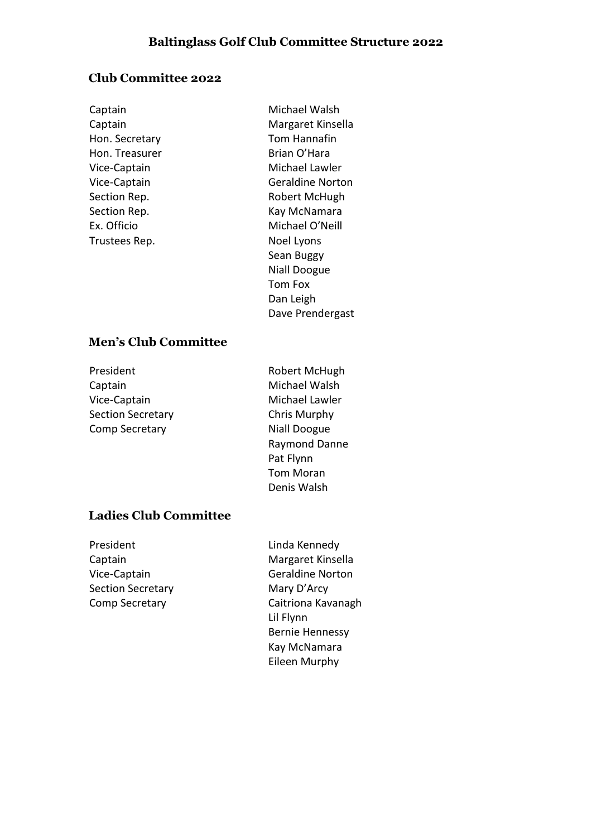# **Club Committee 2022**

Hon. Secretary **Tom Hannafin**<br>
Hon. Treasurer **The Strate Strate** Brian O'Hara Hon. Treasurer Trustees Rep. Noel Lyons

Captain **Michael Walsh** Captain Margaret Kinsella Vice-Captain Michael Lawler Vice-Captain Geraldine Norton Section Rep. The Robert McHugh Section Rep. **Kay McNamara** Ex. Officio Michael O'Neill Sean Buggy Niall Doogue Tom Fox Dan Leigh Dave Prendergast

### **Men's Club Committee**

| President                | Robert McHugh       |
|--------------------------|---------------------|
| Captain                  | Michael Walsh       |
| Vice-Captain             | Michael Lawler      |
| <b>Section Secretary</b> | Chris Murphy        |
| Comp Secretary           | <b>Niall Doogue</b> |
|                          | Raymond Danne       |
|                          | Pat Flynn           |
|                          | <b>Tom Moran</b>    |
|                          | Denis Walsh         |

# **Ladies Club Committee**

| President                | Linda Kennedy           |
|--------------------------|-------------------------|
| Captain                  | Margaret Kinsella       |
| Vice-Captain             | <b>Geraldine Norton</b> |
| <b>Section Secretary</b> | Mary D'Arcy             |
| Comp Secretary           | Caitriona Kavanagh      |
|                          | Lil Flynn               |
|                          | <b>Bernie Hennessy</b>  |
|                          | Kay McNamara            |
|                          | Eileen Murphy           |
|                          |                         |